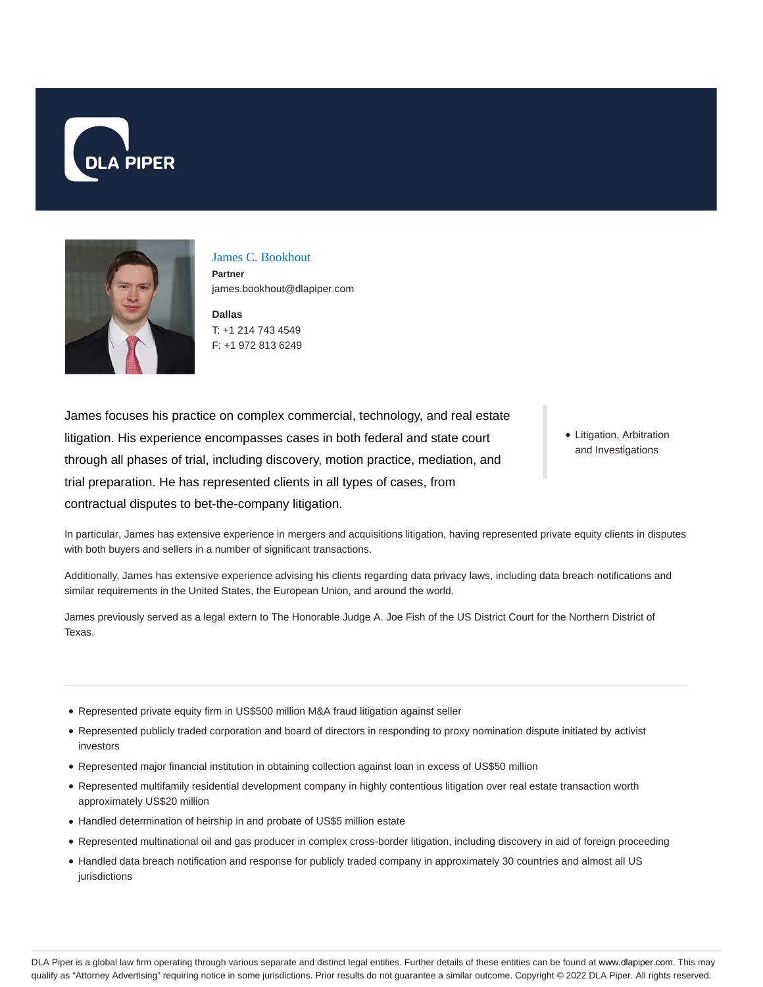



James C. Bookhout

**Partner** james.bookhout@dlapiper.com

**Dallas** T: +1 214 743 4549 F: +1 972 813 6249

James focuses his practice on complex commercial, technology, and real estate litigation. His experience encompasses cases in both federal and state court through all phases of trial, including discovery, motion practice, mediation, and trial preparation. He has represented clients in all types of cases, from contractual disputes to bet-the-company litigation.

• Litigation, Arbitration and Investigations

In particular, James has extensive experience in mergers and acquisitions litigation, having represented private equity clients in disputes with both buyers and sellers in a number of significant transactions.

Additionally, James has extensive experience advising his clients regarding data privacy laws, including data breach notifications and similar requirements in the United States, the European Union, and around the world.

James previously served as a legal extern to The Honorable Judge A. Joe Fish of the US District Court for the Northern District of Texas.

- Represented private equity firm in US\$500 million M&A fraud litigation against seller
- Represented publicly traded corporation and board of directors in responding to proxy nomination dispute initiated by activist investors
- Represented major financial institution in obtaining collection against loan in excess of US\$50 million
- Represented multifamily residential development company in highly contentious litigation over real estate transaction worth approximately US\$20 million
- Handled determination of heirship in and probate of US\$5 million estate
- Represented multinational oil and gas producer in complex cross-border litigation, including discovery in aid of foreign proceeding
- Handled data breach notification and response for publicly traded company in approximately 30 countries and almost all US jurisdictions